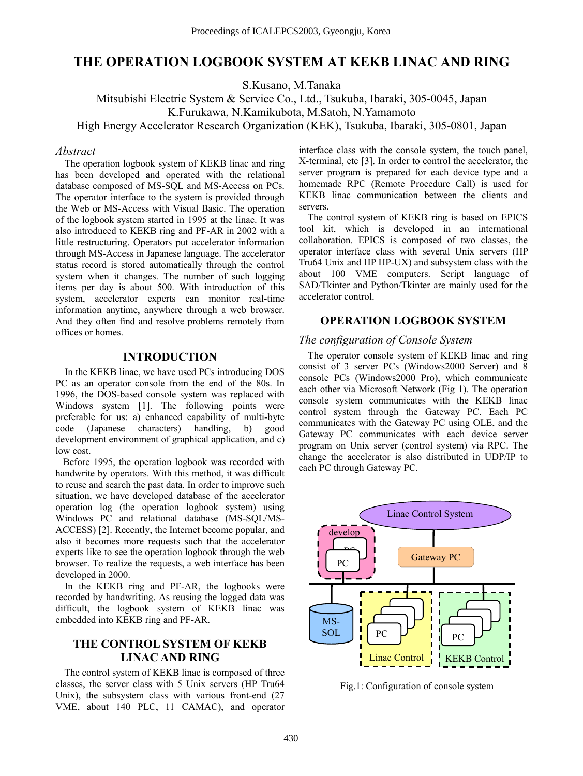# **THE OPERATION LOGBOOK SYSTEM AT KEKB LINAC AND RING**

S.Kusano, M.Tanaka

Mitsubishi Electric System & Service Co., Ltd., Tsukuba, Ibaraki, 305-0045, Japan K.Furukawa, N.Kamikubota, M.Satoh, N.Yamamoto High Energy Accelerator Research Organization (KEK), Tsukuba, Ibaraki, 305-0801, Japan

#### *Abstract*

The operation logbook system of KEKB linac and ring has been developed and operated with the relational database composed of MS-SQL and MS-Access on PCs. The operator interface to the system is provided through the Web or MS-Access with Visual Basic. The operation of the logbook system started in 1995 at the linac. It was also introduced to KEKB ring and PF-AR in 2002 with a little restructuring. Operators put accelerator information through MS-Access in Japanese language. The accelerator status record is stored automatically through the control system when it changes. The number of such logging items per day is about 500. With introduction of this system, accelerator experts can monitor real-time information anytime, anywhere through a web browser. And they often find and resolve problems remotely from offices or homes.

#### **INTRODUCTION**

In the KEKB linac, we have used PCs introducing DOS PC as an operator console from the end of the 80s. In 1996, the DOS-based console system was replaced with Windows system [1]. The following points were preferable for us: a) enhanced capability of multi-byte code (Japanese characters) handling, b) good development environment of graphical application, and c) low cost.

Before 1995, the operation logbook was recorded with handwrite by operators. With this method, it was difficult to reuse and search the past data. In order to improve such situation, we have developed database of the accelerator operation log (the operation logbook system) using Windows PC and relational database (MS-SQL/MS-ACCESS) [2]. Recently, the Internet become popular, and also it becomes more requests such that the accelerator experts like to see the operation logbook through the web browser. To realize the requests, a web interface has been developed in 2000.

In the KEKB ring and PF-AR, the logbooks were recorded by handwriting. As reusing the logged data was difficult, the logbook system of KEKB linac was embedded into KEKB ring and PF-AR.

## **THE CONTROL SYSTEM OF KEKB LINAC AND RING**

The control system of KEKB linac is composed of three classes, the server class with 5 Unix servers (HP Tru64 Unix), the subsystem class with various front-end (27 VME, about 140 PLC, 11 CAMAC), and operator

interface class with the console system, the touch panel, X-terminal, etc [3]. In order to control the accelerator, the server program is prepared for each device type and a homemade RPC (Remote Procedure Call) is used for KEKB linac communication between the clients and servers.

The control system of KEKB ring is based on EPICS tool kit, which is developed in an international collaboration. EPICS is composed of two classes, the operator interface class with several Unix servers (HP Tru64 Unix and HP HP-UX) and subsystem class with the about 100 VME computers. Script language of SAD/Tkinter and Python/Tkinter are mainly used for the accelerator control.

#### **OPERATION LOGBOOK SYSTEM**

#### *The configuration of Console System*

The operator console system of KEKB linac and ring consist of 3 server PCs (Windows2000 Server) and 8 console PCs (Windows2000 Pro), which communicate each other via Microsoft Network (Fig 1). The operation console system communicates with the KEKB linac control system through the Gateway PC. Each PC communicates with the Gateway PC using OLE, and the Gateway PC communicates with each device server program on Unix server (control system) via RPC. The change the accelerator is also distributed in UDP/IP to each PC through Gateway PC.



Fig.1: Configuration of console system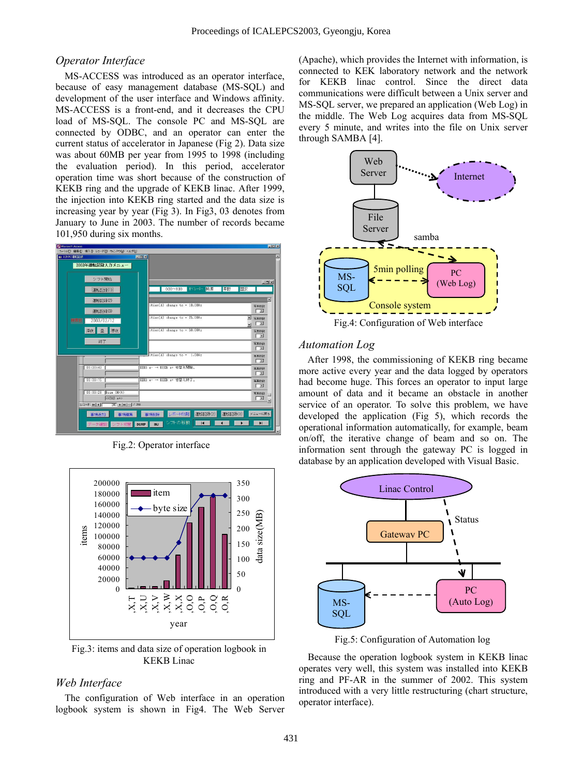#### *Operator Interface*

MS-ACCESS was introduced as an operator interface, because of easy management database (MS-SQL) and development of the user interface and Windows affinity. MS-ACCESS is a front-end, and it decreases the CPU load of MS-SQL. The console PC and MS-SQL are connected by ODBC, and an operator can enter the current status of accelerator in Japanese (Fig 2). Data size was about 60MB per year from 1995 to 1998 (including the evaluation period). In this period, accelerator operation time was short because of the construction of KEKB ring and the upgrade of KEKB linac. After 1999, the injection into KEKB ring started and the data size is increasing year by year (Fig 3). In Fig3, 03 denotes from January to June in 2003. The number of records became 101,950 during six months.

| ファイル(F) 編集(E) 挿入(D) レコード(R) ウィンドウ(M) ヘルプ(H)                         |                                          |                       |
|---------------------------------------------------------------------|------------------------------------------|-----------------------|
| 图 JLDGAO建制扫出                                                        | FOX                                      |                       |
| 2003年運転記録入力メニュー                                                     |                                          |                       |
| シフト開始                                                               |                                          |                       |
|                                                                     | オペレーター 精原<br>草野<br>国安<br>$030 - 830$     | $\Box$                |
| 運転記録(1)                                                             |                                          |                       |
| 運転記録(2)                                                             | ition(A) change to = 10.00Hz             | ×                     |
| 運転記録(3)                                                             |                                          | 写真控制<br>□■            |
| 検索日<br>2003/02/12                                                   | $ition(A)$ change to = 25.00Hz           | 二 写真校战                |
| 深夜 星 準夜                                                             | $ition(A)$ change to = 50.00Hz           | ×<br>写真传数             |
|                                                                     |                                          | ⊏⊠                    |
| 終了                                                                  |                                          | 写真校战<br>E             |
|                                                                     | $ition(A)$ change to = $1.00Hz$          | 写真校数                  |
|                                                                     |                                          | □≊                    |
| 06:38:43                                                            | EEKB e- → EEKB e+ 韧替え開始。                 | 写真校社<br>一回            |
| 06:39:15                                                            | EEKB e- → EEKB e+ 切替え終了。                 | 写真恢故                  |
|                                                                     |                                          | Г×                    |
| Bean ON(A)<br>06:39:28<br><b><kekb< b=""> a+&gt;</kekb<></b>        |                                          | 写真校数<br>一回            |
| $L = F$ $H$ $H$<br>$245$   $\bullet$   $\bullet$   $\circ$   $/258$ |                                          |                       |
| 事項編集<br>事項追加                                                        | 運転記録(2)<br>レポート印刷<br>運転記録(3)<br>事項削除     | メニューに戻る               |
| データ確認 シフト切替                                                         | シフトの移動<br>$\overline{14}$<br>DUMP<br>INJ | $\blacktriangleright$ |
|                                                                     |                                          |                       |

Fig.2: Operator interface



Fig.3: items and data size of operation logbook in KEKB Linac

#### *Web Interface*

The configuration of Web interface in an operation logbook system is shown in Fig4. The Web Server (Apache), which provides the Internet with information, is connected to KEK laboratory network and the network for KEKB linac control. Since the direct data communications were difficult between a Unix server and MS-SQL server, we prepared an application (Web Log) in the middle. The Web Log acquires data from MS-SQL every 5 minute, and writes into the file on Unix server through SAMBA [4].



#### *Automation Log*

After 1998, the commissioning of KEKB ring became more active every year and the data logged by operators had become huge. This forces an operator to input large amount of data and it became an obstacle in another service of an operator. To solve this problem, we have developed the application (Fig 5), which records the operational information automatically, for example, beam on/off, the iterative change of beam and so on. The information sent through the gateway PC is logged in database by an application developed with Visual Basic.



Fig.5: Configuration of Automation log

Because the operation logbook system in KEKB linac operates very well, this system was installed into KEKB ring and PF-AR in the summer of 2002. This system introduced with a very little restructuring (chart structure, operator interface).